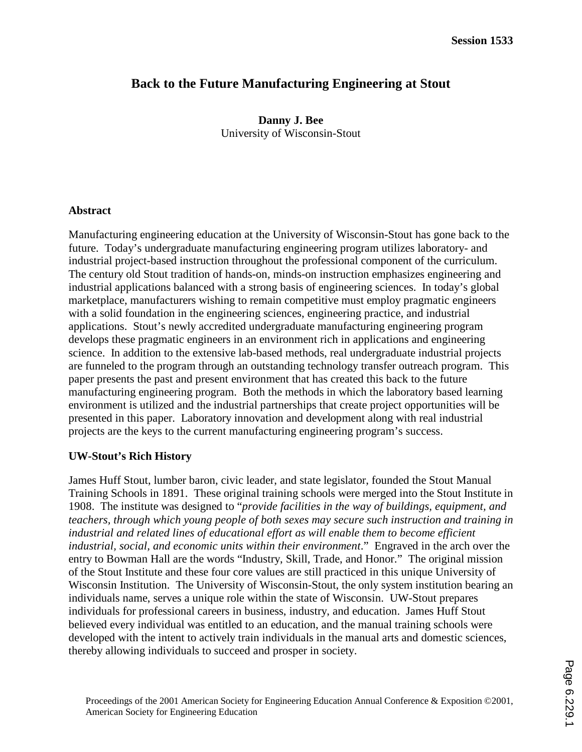# **Back to the Future Manufacturing Engineering at Stout**

**Danny J. Bee**  University of Wisconsin-Stout

#### **Abstract**

Manufacturing engineering education at the University of Wisconsin-Stout has gone back to the future. Today's undergraduate manufacturing engineering program utilizes laboratory- and industrial project-based instruction throughout the professional component of the curriculum. The century old Stout tradition of hands-on, minds-on instruction emphasizes engineering and industrial applications balanced with a strong basis of engineering sciences. In today's global marketplace, manufacturers wishing to remain competitive must employ pragmatic engineers with a solid foundation in the engineering sciences, engineering practice, and industrial applications. Stout's newly accredited undergraduate manufacturing engineering program develops these pragmatic engineers in an environment rich in applications and engineering science. In addition to the extensive lab-based methods, real undergraduate industrial projects are funneled to the program through an outstanding technology transfer outreach program. This paper presents the past and present environment that has created this back to the future manufacturing engineering program. Both the methods in which the laboratory based learning environment is utilized and the industrial partnerships that create project opportunities will be presented in this paper. Laboratory innovation and development along with real industrial projects are the keys to the current manufacturing engineering program's success.

#### **UW-Stout's Rich History**

James Huff Stout, lumber baron, civic leader, and state legislator, founded the Stout Manual Training Schools in 1891. These original training schools were merged into the Stout Institute in 1908. The institute was designed to "*provide facilities in the way of buildings, equipment, and teachers, through which young people of both sexes may secure such instruction and training in*  industrial and related lines of educational effort as will enable them to become efficient *industrial, social, and economic units within their environment*." Engraved in the arch over the entry to Bowman Hall are the words "Industry, Skill, Trade, and Honor." The original mission of the Stout Institute and these four core values are still practiced in this unique University of Wisconsin Institution. The University of Wisconsin-Stout, the only system institution bearing an individuals name, serves a unique role within the state of Wisconsin. UW-Stout prepares individuals for professional careers in business, industry, and education. James Huff Stout believed every individual was entitled to an education, and the manual training schools were developed with the intent to actively train individuals in the manual arts and domestic sciences, thereby allowing individuals to succeed and prosper in society.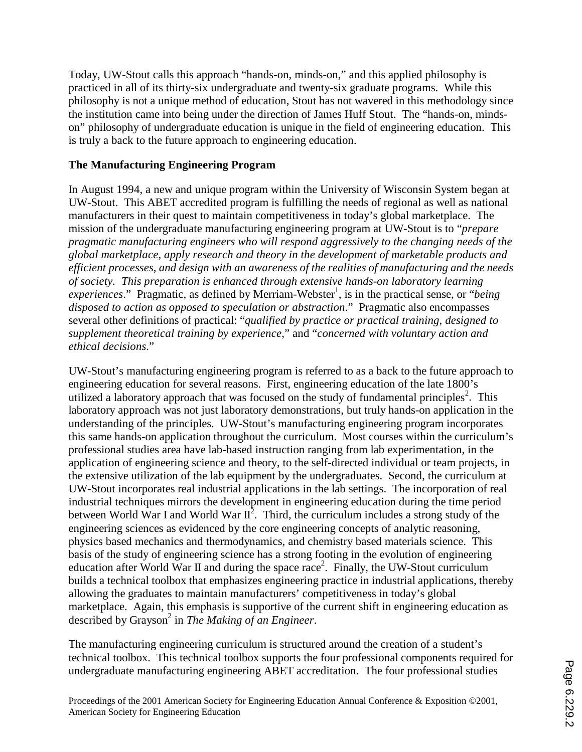Today, UW-Stout calls this approach "hands-on, minds-on," and this applied philosophy is practiced in all of its thirty-six undergraduate and twenty-six graduate programs. While this philosophy is not a unique method of education, Stout has not wavered in this methodology since the institution came into being under the direction of James Huff Stout. The "hands-on, mindson" philosophy of undergraduate education is unique in the field of engineering education. This is truly a back to the future approach to engineering education.

# **The Manufacturing Engineering Program**

In August 1994, a new and unique program within the University of Wisconsin System began at UW-Stout. This ABET accredited program is fulfilling the needs of regional as well as national manufacturers in their quest to maintain competitiveness in today's global marketplace. The mission of the undergraduate manufacturing engineering program at UW-Stout is to "*prepare pragmatic manufacturing engineers who will respond aggressively to the changing needs of the global marketplace, apply research and theory in the development of marketable products and efficient processes, and design with an awareness of the realities of manufacturing and the needs of society. This preparation is enhanced through extensive hands-on laboratory learning*  experiences." Pragmatic, as defined by Merriam-Webster<sup>1</sup>, is in the practical sense, or "*being disposed to action as opposed to speculation or abstraction*." Pragmatic also encompasses several other definitions of practical: "*qualified by practice or practical training*, *designed to supplement theoretical training by experience*," and "*concerned with voluntary action and ethical decisions*."

UW-Stout's manufacturing engineering program is referred to as a back to the future approach to engineering education for several reasons. First, engineering education of the late 1800's utilized a laboratory approach that was focused on the study of fundamental principles<sup>2</sup>. This laboratory approach was not just laboratory demonstrations, but truly hands-on application in the understanding of the principles. UW-Stout's manufacturing engineering program incorporates this same hands-on application throughout the curriculum. Most courses within the curriculum's professional studies area have lab-based instruction ranging from lab experimentation, in the application of engineering science and theory, to the self-directed individual or team projects, in the extensive utilization of the lab equipment by the undergraduates. Second, the curriculum at UW-Stout incorporates real industrial applications in the lab settings. The incorporation of real industrial techniques mirrors the development in engineering education during the time period between World War I and World War  $II^2$ . Third, the curriculum includes a strong study of the engineering sciences as evidenced by the core engineering concepts of analytic reasoning, physics based mechanics and thermodynamics, and chemistry based materials science. This basis of the study of engineering science has a strong footing in the evolution of engineering education after World War II and during the space race<sup>2</sup>. Finally, the UW-Stout curriculum builds a technical toolbox that emphasizes engineering practice in industrial applications, thereby allowing the graduates to maintain manufacturers' competitiveness in today's global marketplace. Again, this emphasis is supportive of the current shift in engineering education as described by Grayson<sup>2</sup> in *The Making of an Engineer*.

The manufacturing engineering curriculum is structured around the creation of a student's technical toolbox. This technical toolbox supports the four professional components required for undergraduate manufacturing engineering ABET accreditation. The four professional studies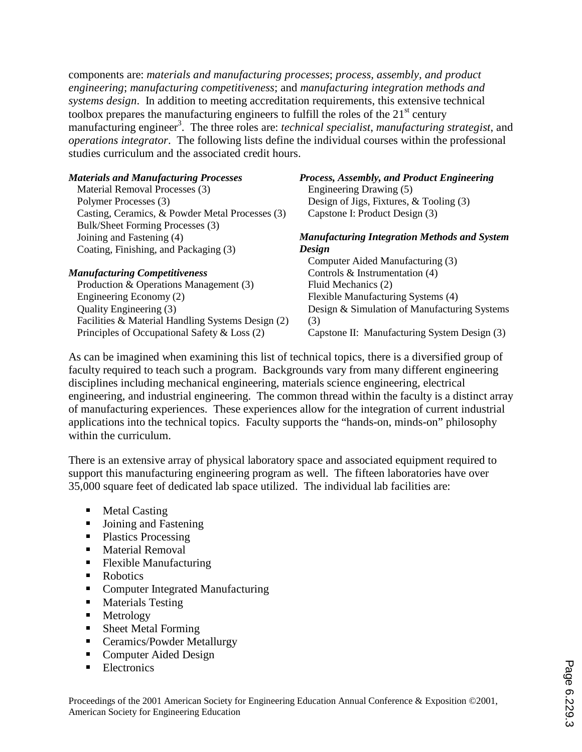components are: *materials and manufacturing processes*; *process, assembly, and product engineering*; *manufacturing competitiveness*; and *manufacturing integration methods and systems design*. In addition to meeting accreditation requirements, this extensive technical toolbox prepares the manufacturing engineers to fulfill the roles of the  $21<sup>st</sup>$  century manufacturing engineer<sup>3</sup>. The three roles are: *technical specialist*, *manufacturing strategist*, and *operations integrator*. The following lists define the individual courses within the professional studies curriculum and the associated credit hours.

| <b>Materials and Manufacturing Processes</b>      | Process, Assembly, and Product Engineering          |
|---------------------------------------------------|-----------------------------------------------------|
| Material Removal Processes (3)                    | Engineering Drawing (5)                             |
| Polymer Processes (3)                             | Design of Jigs, Fixtures, $&$ Tooling (3)           |
| Casting, Ceramics, & Powder Metal Processes (3)   | Capstone I: Product Design (3)                      |
| Bulk/Sheet Forming Processes (3)                  |                                                     |
| Joining and Fastening (4)                         | <b>Manufacturing Integration Methods and System</b> |
| Coating, Finishing, and Packaging (3)             | Design                                              |
|                                                   | Computer Aided Manufacturing (3)                    |
| <b>Manufacturing Competitiveness</b>              | Controls $\&$ Instrumentation (4)                   |
| Production & Operations Management (3)            | Fluid Mechanics (2)                                 |
| Engineering Economy (2)                           | Flexible Manufacturing Systems (4)                  |
| Quality Engineering (3)                           | Design & Simulation of Manufacturing Systems        |
| Facilities & Material Handling Systems Design (2) | (3)                                                 |
| Principles of Occupational Safety & Loss (2)      | Capstone II: Manufacturing System Design (3)        |

As can be imagined when examining this list of technical topics, there is a diversified group of faculty required to teach such a program. Backgrounds vary from many different engineering disciplines including mechanical engineering, materials science engineering, electrical engineering, and industrial engineering. The common thread within the faculty is a distinct array of manufacturing experiences. These experiences allow for the integration of current industrial applications into the technical topics. Faculty supports the "hands-on, minds-on" philosophy within the curriculum.

There is an extensive array of physical laboratory space and associated equipment required to support this manufacturing engineering program as well. The fifteen laboratories have over 35,000 square feet of dedicated lab space utilized. The individual lab facilities are:

- **Metal Casting**
- **Joining and Fastening**
- Plastics Processing
- **Material Removal**
- **Flexible Manufacturing**
- Robotics
- Computer Integrated Manufacturing
- **Materials Testing**
- Metrology<br>■ Sheet Meta
- Sheet Metal Forming
- Ceramics/Powder Metallurgy
- Computer Aided Design
- **Electronics**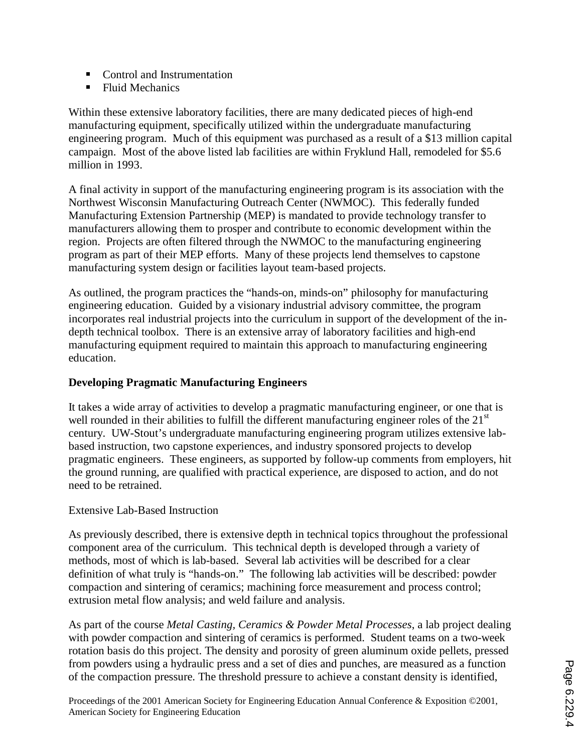- Control and Instrumentation
- **Fluid Mechanics**

Within these extensive laboratory facilities, there are many dedicated pieces of high-end manufacturing equipment, specifically utilized within the undergraduate manufacturing engineering program. Much of this equipment was purchased as a result of a \$13 million capital campaign. Most of the above listed lab facilities are within Fryklund Hall, remodeled for \$5.6 million in 1993.

A final activity in support of the manufacturing engineering program is its association with the Northwest Wisconsin Manufacturing Outreach Center (NWMOC). This federally funded Manufacturing Extension Partnership (MEP) is mandated to provide technology transfer to manufacturers allowing them to prosper and contribute to economic development within the region. Projects are often filtered through the NWMOC to the manufacturing engineering program as part of their MEP efforts. Many of these projects lend themselves to capstone manufacturing system design or facilities layout team-based projects.

As outlined, the program practices the "hands-on, minds-on" philosophy for manufacturing engineering education. Guided by a visionary industrial advisory committee, the program incorporates real industrial projects into the curriculum in support of the development of the indepth technical toolbox. There is an extensive array of laboratory facilities and high-end manufacturing equipment required to maintain this approach to manufacturing engineering education.

# **Developing Pragmatic Manufacturing Engineers**

It takes a wide array of activities to develop a pragmatic manufacturing engineer, or one that is well rounded in their abilities to fulfill the different manufacturing engineer roles of the 21<sup>st</sup> century. UW-Stout's undergraduate manufacturing engineering program utilizes extensive labbased instruction, two capstone experiences, and industry sponsored projects to develop pragmatic engineers. These engineers, as supported by follow-up comments from employers, hit the ground running, are qualified with practical experience, are disposed to action, and do not need to be retrained.

### Extensive Lab-Based Instruction

As previously described, there is extensive depth in technical topics throughout the professional component area of the curriculum. This technical depth is developed through a variety of methods, most of which is lab-based. Several lab activities will be described for a clear definition of what truly is "hands-on." The following lab activities will be described: powder compaction and sintering of ceramics; machining force measurement and process control; extrusion metal flow analysis; and weld failure and analysis.

As part of the course *Metal Casting, Ceramics & Powder Metal Processes*, a lab project dealing with powder compaction and sintering of ceramics is performed. Student teams on a two-week rotation basis do this project. The density and porosity of green aluminum oxide pellets, pressed from powders using a hydraulic press and a set of dies and punches, are measured as a function of the compaction pressure. The threshold pressure to achieve a constant density is identified,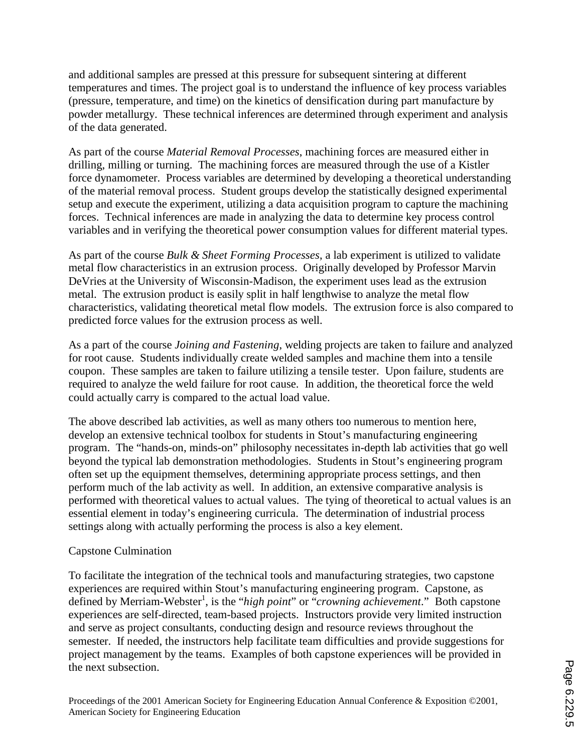and additional samples are pressed at this pressure for subsequent sintering at different temperatures and times. The project goal is to understand the influence of key process variables (pressure, temperature, and time) on the kinetics of densification during part manufacture by powder metallurgy. These technical inferences are determined through experiment and analysis of the data generated.

As part of the course *Material Removal Processes*, machining forces are measured either in drilling, milling or turning. The machining forces are measured through the use of a Kistler force dynamometer. Process variables are determined by developing a theoretical understanding of the material removal process. Student groups develop the statistically designed experimental setup and execute the experiment, utilizing a data acquisition program to capture the machining forces. Technical inferences are made in analyzing the data to determine key process control variables and in verifying the theoretical power consumption values for different material types.

As part of the course *Bulk & Sheet Forming Processes*, a lab experiment is utilized to validate metal flow characteristics in an extrusion process. Originally developed by Professor Marvin DeVries at the University of Wisconsin-Madison, the experiment uses lead as the extrusion metal. The extrusion product is easily split in half lengthwise to analyze the metal flow characteristics, validating theoretical metal flow models. The extrusion force is also compared to predicted force values for the extrusion process as well.

As a part of the course *Joining and Fastening*, welding projects are taken to failure and analyzed for root cause. Students individually create welded samples and machine them into a tensile coupon. These samples are taken to failure utilizing a tensile tester. Upon failure, students are required to analyze the weld failure for root cause. In addition, the theoretical force the weld could actually carry is compared to the actual load value.

The above described lab activities, as well as many others too numerous to mention here, develop an extensive technical toolbox for students in Stout's manufacturing engineering program. The "hands-on, minds-on" philosophy necessitates in-depth lab activities that go well beyond the typical lab demonstration methodologies. Students in Stout's engineering program often set up the equipment themselves, determining appropriate process settings, and then perform much of the lab activity as well. In addition, an extensive comparative analysis is performed with theoretical values to actual values. The tying of theoretical to actual values is an essential element in today's engineering curricula. The determination of industrial process settings along with actually performing the process is also a key element.

### Capstone Culmination

To facilitate the integration of the technical tools and manufacturing strategies, two capstone experiences are required within Stout's manufacturing engineering program. Capstone, as defined by Merriam-Webster<sup>1</sup>, is the "*high point*" or "*crowning achievement*." Both capstone experiences are self-directed, team-based projects. Instructors provide very limited instruction and serve as project consultants, conducting design and resource reviews throughout the semester. If needed, the instructors help facilitate team difficulties and provide suggestions for project management by the teams. Examples of both capstone experiences will be provided in the next subsection.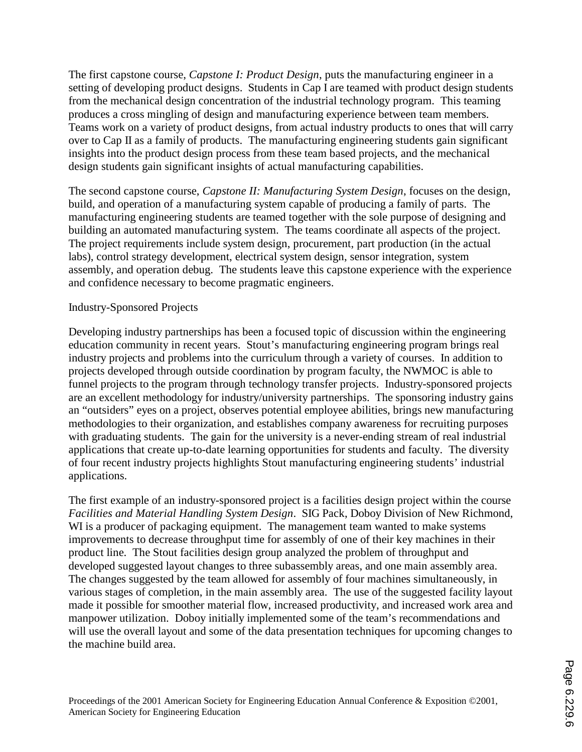The first capstone course, *Capstone I: Product Design*, puts the manufacturing engineer in a setting of developing product designs. Students in Cap I are teamed with product design students from the mechanical design concentration of the industrial technology program. This teaming produces a cross mingling of design and manufacturing experience between team members. Teams work on a variety of product designs, from actual industry products to ones that will carry over to Cap II as a family of products. The manufacturing engineering students gain significant insights into the product design process from these team based projects, and the mechanical design students gain significant insights of actual manufacturing capabilities.

The second capstone course, *Capstone II: Manufacturing System Design*, focuses on the design, build, and operation of a manufacturing system capable of producing a family of parts. The manufacturing engineering students are teamed together with the sole purpose of designing and building an automated manufacturing system. The teams coordinate all aspects of the project. The project requirements include system design, procurement, part production (in the actual labs), control strategy development, electrical system design, sensor integration, system assembly, and operation debug. The students leave this capstone experience with the experience and confidence necessary to become pragmatic engineers.

#### Industry-Sponsored Projects

Developing industry partnerships has been a focused topic of discussion within the engineering education community in recent years. Stout's manufacturing engineering program brings real industry projects and problems into the curriculum through a variety of courses. In addition to projects developed through outside coordination by program faculty, the NWMOC is able to funnel projects to the program through technology transfer projects. Industry-sponsored projects are an excellent methodology for industry/university partnerships. The sponsoring industry gains an "outsiders" eyes on a project, observes potential employee abilities, brings new manufacturing methodologies to their organization, and establishes company awareness for recruiting purposes with graduating students. The gain for the university is a never-ending stream of real industrial applications that create up-to-date learning opportunities for students and faculty. The diversity of four recent industry projects highlights Stout manufacturing engineering students' industrial applications.

The first example of an industry-sponsored project is a facilities design project within the course *Facilities and Material Handling System Design*. SIG Pack, Doboy Division of New Richmond, WI is a producer of packaging equipment. The management team wanted to make systems improvements to decrease throughput time for assembly of one of their key machines in their product line. The Stout facilities design group analyzed the problem of throughput and developed suggested layout changes to three subassembly areas, and one main assembly area. The changes suggested by the team allowed for assembly of four machines simultaneously, in various stages of completion, in the main assembly area. The use of the suggested facility layout made it possible for smoother material flow, increased productivity, and increased work area and manpower utilization. Doboy initially implemented some of the team's recommendations and will use the overall layout and some of the data presentation techniques for upcoming changes to the machine build area.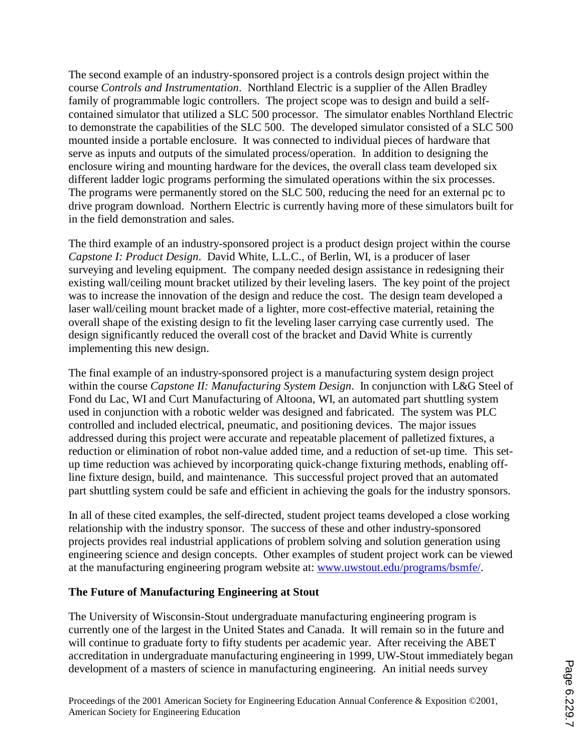The second example of an industry-sponsored project is a controls design project within the course *Controls and Instrumentation*. Northland Electric is a supplier of the Allen Bradley family of programmable logic controllers. The project scope was to design and build a selfcontained simulator that utilized a SLC 500 processor. The simulator enables Northland Electric to demonstrate the capabilities of the SLC 500. The developed simulator consisted of a SLC 500 mounted inside a portable enclosure. It was connected to individual pieces of hardware that serve as inputs and outputs of the simulated process/operation. In addition to designing the enclosure wiring and mounting hardware for the devices, the overall class team developed six different ladder logic programs performing the simulated operations within the six processes. The programs were permanently stored on the SLC 500, reducing the need for an external pc to drive program download. Northern Electric is currently having more of these simulators built for in the field demonstration and sales.

The third example of an industry-sponsored project is a product design project within the course *Capstone I: Product Design*. David White, L.L.C., of Berlin, WI, is a producer of laser surveying and leveling equipment. The company needed design assistance in redesigning their existing wall/ceiling mount bracket utilized by their leveling lasers. The key point of the project was to increase the innovation of the design and reduce the cost. The design team developed a laser wall/ceiling mount bracket made of a lighter, more cost-effective material, retaining the overall shape of the existing design to fit the leveling laser carrying case currently used. The design significantly reduced the overall cost of the bracket and David White is currently implementing this new design.

The final example of an industry-sponsored project is a manufacturing system design project within the course *Capstone II: Manufacturing System Design*. In conjunction with L&G Steel of Fond du Lac, WI and Curt Manufacturing of Altoona, WI, an automated part shuttling system used in conjunction with a robotic welder was designed and fabricated. The system was PLC controlled and included electrical, pneumatic, and positioning devices. The major issues addressed during this project were accurate and repeatable placement of palletized fixtures, a reduction or elimination of robot non-value added time, and a reduction of set-up time. This setup time reduction was achieved by incorporating quick-change fixturing methods, enabling offline fixture design, build, and maintenance. This successful project proved that an automated part shuttling system could be safe and efficient in achieving the goals for the industry sponsors.

In all of these cited examples, the self-directed, student project teams developed a close working relationship with the industry sponsor. The success of these and other industry-sponsored projects provides real industrial applications of problem solving and solution generation using engineering science and design concepts. Other examples of student project work can be viewed at the manufacturing engineering program website at: www.uwstout.edu/programs/bsmfe/.

### **The Future of Manufacturing Engineering at Stout**

The University of Wisconsin-Stout undergraduate manufacturing engineering program is currently one of the largest in the United States and Canada. It will remain so in the future and will continue to graduate forty to fifty students per academic year. After receiving the ABET accreditation in undergraduate manufacturing engineering in 1999, UW-Stout immediately began development of a masters of science in manufacturing engineering. An initial needs survey